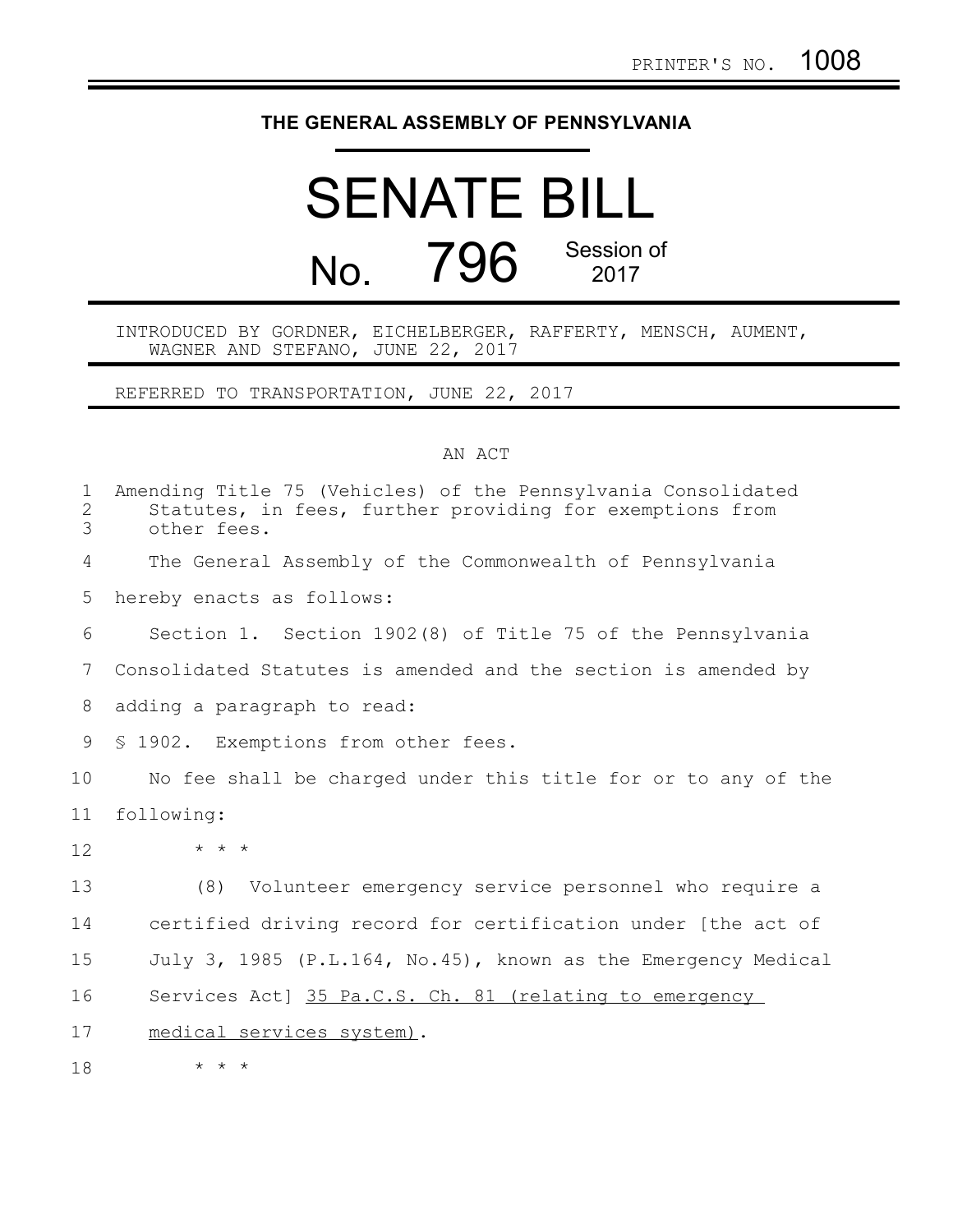## **THE GENERAL ASSEMBLY OF PENNSYLVANIA**

## SENATE BILL No. 796 Session of 2017

INTRODUCED BY GORDNER, EICHELBERGER, RAFFERTY, MENSCH, AUMENT, WAGNER AND STEFANO, JUNE 22, 2017

REFERRED TO TRANSPORTATION, JUNE 22, 2017

## AN ACT

| $\mathbf 1$<br>$\mathbf{2}$<br>3 | Amending Title 75 (Vehicles) of the Pennsylvania Consolidated<br>Statutes, in fees, further providing for exemptions from<br>other fees. |
|----------------------------------|------------------------------------------------------------------------------------------------------------------------------------------|
| 4                                | The General Assembly of the Commonwealth of Pennsylvania                                                                                 |
| 5                                | hereby enacts as follows:                                                                                                                |
| 6                                | Section 1. Section 1902(8) of Title 75 of the Pennsylvania                                                                               |
| $7\phantom{.0}$                  | Consolidated Statutes is amended and the section is amended by                                                                           |
| 8                                | adding a paragraph to read:                                                                                                              |
| 9                                | § 1902. Exemptions from other fees.                                                                                                      |
| 10                               | No fee shall be charged under this title for or to any of the                                                                            |
| 11                               | following:                                                                                                                               |
| 12                               | $\star$ $\star$ $\star$                                                                                                                  |
| 13                               | (8) Volunteer emergency service personnel who require a                                                                                  |
| 14                               | certified driving record for certification under [the act of                                                                             |
| 15                               | July 3, 1985 (P.L.164, No.45), known as the Emergency Medical                                                                            |
| 16                               | Services Act] 35 Pa.C.S. Ch. 81 (relating to emergency                                                                                   |
| 17                               | medical services system).                                                                                                                |
| 18                               | $\star$ $\star$ $\star$                                                                                                                  |